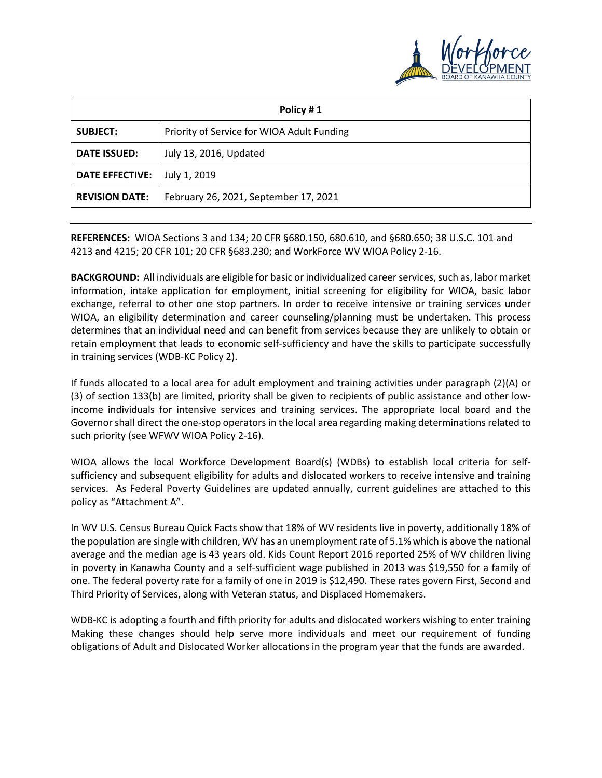

| Policy #1              |                                            |  |  |  |  |  |
|------------------------|--------------------------------------------|--|--|--|--|--|
| <b>SUBJECT:</b>        | Priority of Service for WIOA Adult Funding |  |  |  |  |  |
| <b>DATE ISSUED:</b>    | July 13, 2016, Updated                     |  |  |  |  |  |
| <b>DATE EFFECTIVE:</b> | July 1, 2019                               |  |  |  |  |  |
| <b>REVISION DATE:</b>  | February 26, 2021, September 17, 2021      |  |  |  |  |  |

**REFERENCES:** WIOA Sections 3 and 134; 20 CFR §680.150, 680.610, and §680.650; 38 U.S.C. 101 and 4213 and 4215; 20 CFR 101; 20 CFR §683.230; and WorkForce WV WIOA Policy 2-16.

**BACKGROUND:** All individuals are eligible for basic or individualized career services, such as, labor market information, intake application for employment, initial screening for eligibility for WIOA, basic labor exchange, referral to other one stop partners. In order to receive intensive or training services under WIOA, an eligibility determination and career counseling/planning must be undertaken. This process determines that an individual need and can benefit from services because they are unlikely to obtain or retain employment that leads to economic self-sufficiency and have the skills to participate successfully in training services (WDB-KC Policy 2).

If funds allocated to a local area for adult employment and training activities under paragraph (2)(A) or (3) of section 133(b) are limited, priority shall be given to recipients of public assistance and other lowincome individuals for intensive services and training services. The appropriate local board and the Governor shall direct the one-stop operators in the local area regarding making determinations related to such priority (see WFWV WIOA Policy 2-16).

WIOA allows the local Workforce Development Board(s) (WDBs) to establish local criteria for selfsufficiency and subsequent eligibility for adults and dislocated workers to receive intensive and training services. As Federal Poverty Guidelines are updated annually, current guidelines are attached to this policy as "Attachment A".

In WV U.S. Census Bureau Quick Facts show that 18% of WV residents live in poverty, additionally 18% of the population are single with children, WV has an unemployment rate of 5.1% which is above the national average and the median age is 43 years old. Kids Count Report 2016 reported 25% of WV children living in poverty in Kanawha County and a self-sufficient wage published in 2013 was \$19,550 for a family of one. The federal poverty rate for a family of one in 2019 is \$12,490. These rates govern First, Second and Third Priority of Services, along with Veteran status, and Displaced Homemakers.

WDB-KC is adopting a fourth and fifth priority for adults and dislocated workers wishing to enter training Making these changes should help serve more individuals and meet our requirement of funding obligations of Adult and Dislocated Worker allocations in the program year that the funds are awarded.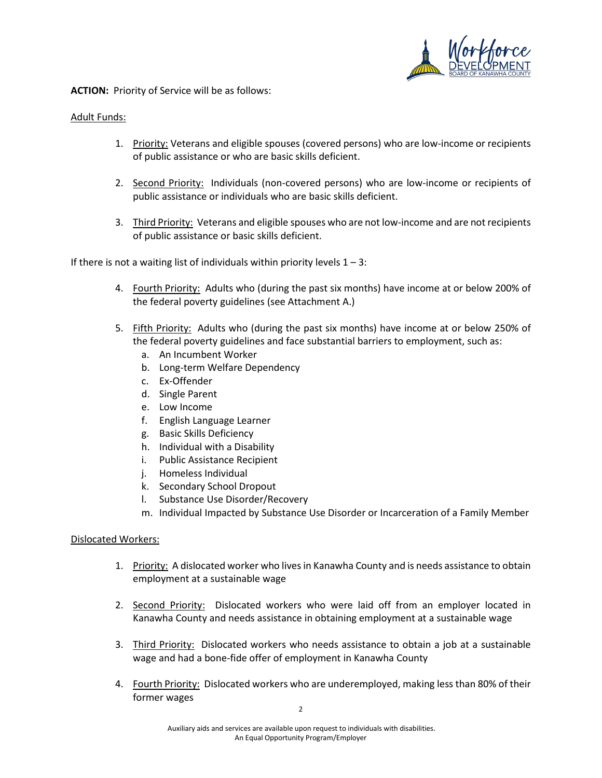

**ACTION:** Priority of Service will be as follows:

#### Adult Funds:

- 1. Priority: Veterans and eligible spouses (covered persons) who are low-income or recipients of public assistance or who are basic skills deficient.
- 2. Second Priority: Individuals (non-covered persons) who are low-income or recipients of public assistance or individuals who are basic skills deficient.
- 3. Third Priority: Veterans and eligible spouses who are not low-income and are not recipients of public assistance or basic skills deficient.

If there is not a waiting list of individuals within priority levels  $1 - 3$ :

- 4. Fourth Priority: Adults who (during the past six months) have income at or below 200% of the federal poverty guidelines (see Attachment A.)
- 5. Fifth Priority: Adults who (during the past six months) have income at or below 250% of the federal poverty guidelines and face substantial barriers to employment, such as:
	- a. An Incumbent Worker
	- b. Long-term Welfare Dependency
	- c. Ex-Offender
	- d. Single Parent
	- e. Low Income
	- f. English Language Learner
	- g. Basic Skills Deficiency
	- h. Individual with a Disability
	- i. Public Assistance Recipient
	- j. Homeless Individual
	- k. Secondary School Dropout
	- l. Substance Use Disorder/Recovery
	- m. Individual Impacted by Substance Use Disorder or Incarceration of a Family Member

## Dislocated Workers:

- 1. Priority: A dislocated worker who lives in Kanawha County and is needs assistance to obtain employment at a sustainable wage
- 2. Second Priority: Dislocated workers who were laid off from an employer located in Kanawha County and needs assistance in obtaining employment at a sustainable wage
- 3. Third Priority: Dislocated workers who needs assistance to obtain a job at a sustainable wage and had a bone-fide offer of employment in Kanawha County
- 4. Fourth Priority: Dislocated workers who are underemployed, making less than 80% of their former wages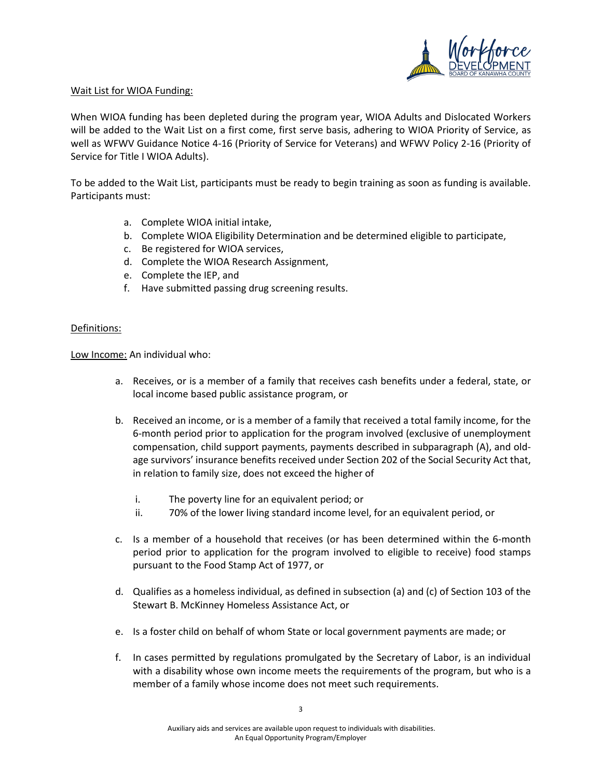

#### Wait List for WIOA Funding:

When WIOA funding has been depleted during the program year, WIOA Adults and Dislocated Workers will be added to the Wait List on a first come, first serve basis, adhering to WIOA Priority of Service, as well as WFWV Guidance Notice 4-16 (Priority of Service for Veterans) and WFWV Policy 2-16 (Priority of Service for Title I WIOA Adults).

To be added to the Wait List, participants must be ready to begin training as soon as funding is available. Participants must:

- a. Complete WIOA initial intake,
- b. Complete WIOA Eligibility Determination and be determined eligible to participate,
- c. Be registered for WIOA services,
- d. Complete the WIOA Research Assignment,
- e. Complete the IEP, and
- f. Have submitted passing drug screening results.

## Definitions:

Low Income: An individual who:

- a. Receives, or is a member of a family that receives cash benefits under a federal, state, or local income based public assistance program, or
- b. Received an income, or is a member of a family that received a total family income, for the 6-month period prior to application for the program involved (exclusive of unemployment compensation, child support payments, payments described in subparagraph (A), and oldage survivors' insurance benefits received under Section 202 of the Social Security Act that, in relation to family size, does not exceed the higher of
	- i. The poverty line for an equivalent period; or
	- ii. 70% of the lower living standard income level, for an equivalent period, or
- c. Is a member of a household that receives (or has been determined within the 6-month period prior to application for the program involved to eligible to receive) food stamps pursuant to the Food Stamp Act of 1977, or
- d. Qualifies as a homeless individual, as defined in subsection (a) and (c) of Section 103 of the Stewart B. McKinney Homeless Assistance Act, or
- e. Is a foster child on behalf of whom State or local government payments are made; or
- f. In cases permitted by regulations promulgated by the Secretary of Labor, is an individual with a disability whose own income meets the requirements of the program, but who is a member of a family whose income does not meet such requirements.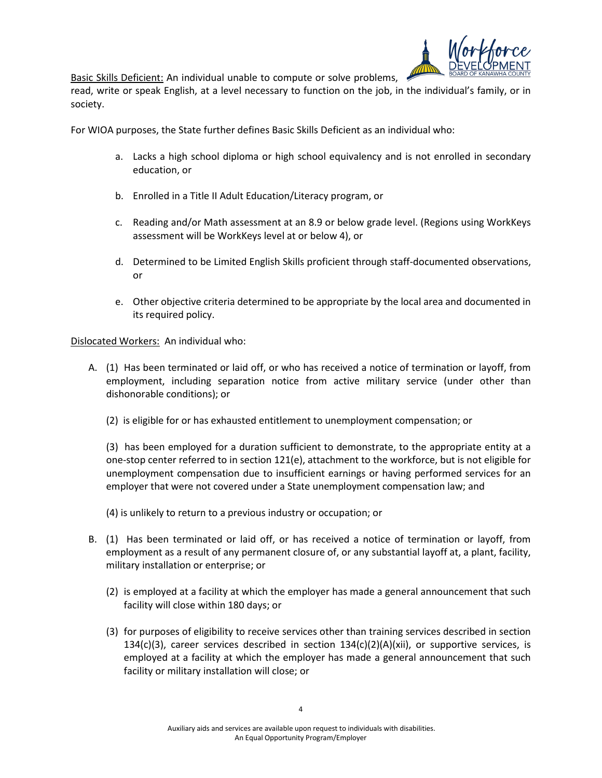

Basic Skills Deficient: An individual unable to compute or solve problems,

read, write or speak English, at a level necessary to function on the job, in the individual's family, or in society.

For WIOA purposes, the State further defines Basic Skills Deficient as an individual who:

- a. Lacks a high school diploma or high school equivalency and is not enrolled in secondary education, or
- b. Enrolled in a Title II Adult Education/Literacy program, or
- c. Reading and/or Math assessment at an 8.9 or below grade level. (Regions using WorkKeys assessment will be WorkKeys level at or below 4), or
- d. Determined to be Limited English Skills proficient through staff-documented observations, or
- e. Other objective criteria determined to be appropriate by the local area and documented in its required policy.

Dislocated Workers: An individual who:

- A. (1) Has been terminated or laid off, or who has received a notice of termination or layoff, from employment, including separation notice from active military service (under other than dishonorable conditions); or
	- (2) is eligible for or has exhausted entitlement to unemployment compensation; or

(3) has been employed for a duration sufficient to demonstrate, to the appropriate entity at a one-stop center referred to in section 121(e), attachment to the workforce, but is not eligible for unemployment compensation due to insufficient earnings or having performed services for an employer that were not covered under a State unemployment compensation law; and

- (4) is unlikely to return to a previous industry or occupation; or
- B. (1) Has been terminated or laid off, or has received a notice of termination or layoff, from employment as a result of any permanent closure of, or any substantial layoff at, a plant, facility, military installation or enterprise; or
	- (2) is employed at a facility at which the employer has made a general announcement that such facility will close within 180 days; or
	- (3) for purposes of eligibility to receive services other than training services described in section 134(c)(3), career services described in section  $134(c)(2)(A)(xii)$ , or supportive services, is employed at a facility at which the employer has made a general announcement that such facility or military installation will close; or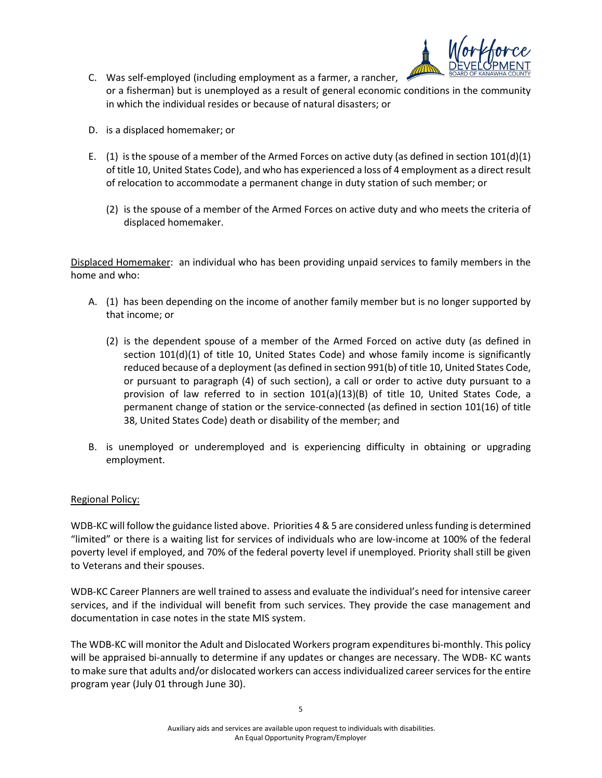

- C. Was self-employed (including employment as a farmer, a rancher, or a fisherman) but is unemployed as a result of general economic conditions in the community in which the individual resides or because of natural disasters; or
- D. is a displaced homemaker; or
- E. (1) is the spouse of a member of the Armed Forces on active duty (as defined in section  $101(d)(1)$ of title 10, United States Code), and who has experienced a loss of 4 employment as a direct result of relocation to accommodate a permanent change in duty station of such member; or
	- (2) is the spouse of a member of the Armed Forces on active duty and who meets the criteria of displaced homemaker.

Displaced Homemaker: an individual who has been providing unpaid services to family members in the home and who:

- A. (1) has been depending on the income of another family member but is no longer supported by that income; or
	- (2) is the dependent spouse of a member of the Armed Forced on active duty (as defined in section 101(d)(1) of title 10, United States Code) and whose family income is significantly reduced because of a deployment (as defined in section 991(b) of title 10, United States Code, or pursuant to paragraph (4) of such section), a call or order to active duty pursuant to a provision of law referred to in section 101(a)(13)(B) of title 10, United States Code, a permanent change of station or the service-connected (as defined in section 101(16) of title 38, United States Code) death or disability of the member; and
- B. is unemployed or underemployed and is experiencing difficulty in obtaining or upgrading employment.

## Regional Policy:

WDB-KC will follow the guidance listed above. Priorities 4 & 5 are considered unless funding is determined "limited" or there is a waiting list for services of individuals who are low-income at 100% of the federal poverty level if employed, and 70% of the federal poverty level if unemployed. Priority shall still be given to Veterans and their spouses.

WDB-KC Career Planners are well trained to assess and evaluate the individual's need for intensive career services, and if the individual will benefit from such services. They provide the case management and documentation in case notes in the state MIS system.

The WDB-KC will monitor the Adult and Dislocated Workers program expenditures bi-monthly. This policy will be appraised bi-annually to determine if any updates or changes are necessary. The WDB- KC wants to make sure that adults and/or dislocated workers can access individualized career services for the entire program year (July 01 through June 30).